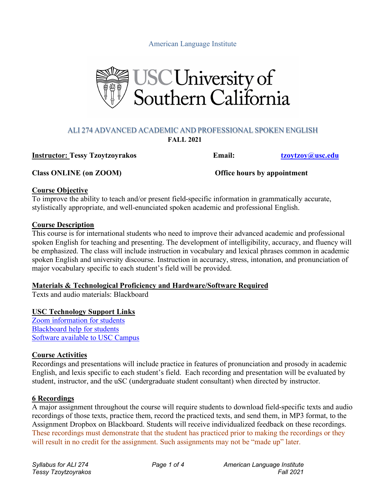American Language Institute



#### ALI 274 ADVANCED ACADEMIC AND PROFESSIONAL SPOKEN ENGLISH **FALL 2021**

**Instructor: Tessy Tzoytzoyrakos Email: tzoytzoy@usc.edu**

**Class ONLINE (on ZOOM) Office hours by appointment**

#### **Course Objective**

To improve the ability to teach and/or present field-specific information in grammatically accurate, stylistically appropriate, and well-enunciated spoken academic and professional English.

### **Course Description**

This course is for international students who need to improve their advanced academic and professional spoken English for teaching and presenting. The development of intelligibility, accuracy, and fluency will be emphasized. The class will include instruction in vocabulary and lexical phrases common in academic spoken English and university discourse. Instruction in accuracy, stress, intonation, and pronunciation of major vocabulary specific to each student's field will be provided.

### **Materials & Technological Proficiency and Hardware/Software Required**

Texts and audio materials: Blackboard

### **USC Technology Support Links**

Zoom information for students Blackboard help for students Software available to USC Campus

### **Course Activities**

Recordings and presentations will include practice in features of pronunciation and prosody in academic English, and lexis specific to each student's field. Each recording and presentation will be evaluated by student, instructor, and the uSC (undergraduate student consultant) when directed by instructor.

### **6 Recordings**

A major assignment throughout the course will require students to download field-specific texts and audio recordings of those texts, practice them, record the practiced texts, and send them, in MP3 format, to the Assignment Dropbox on Blackboard. Students will receive individualized feedback on these recordings. These recordings must demonstrate that the student has practiced prior to making the recordings or they will result in no credit for the assignment. Such assignments may not be "made up" later.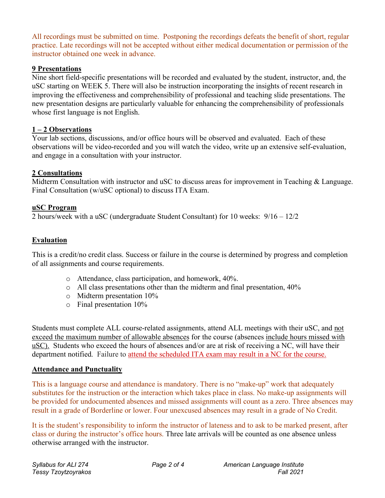All recordings must be submitted on time. Postponing the recordings defeats the benefit of short, regular practice. Late recordings will not be accepted without either medical documentation or permission of the instructor obtained one week in advance.

### **9 Presentations**

Nine short field-specific presentations will be recorded and evaluated by the student, instructor, and, the uSC starting on WEEK 5. There will also be instruction incorporating the insights of recent research in improving the effectiveness and comprehensibility of professional and teaching slide presentations. The new presentation designs are particularly valuable for enhancing the comprehensibility of professionals whose first language is not English.

## **1 – 2 Observations**

Your lab sections, discussions, and/or office hours will be observed and evaluated. Each of these observations will be video-recorded and you will watch the video, write up an extensive self-evaluation, and engage in a consultation with your instructor.

## **2 Consultations**

Midterm Consultation with instructor and uSC to discuss areas for improvement in Teaching & Language. Final Consultation (w/uSC optional) to discuss ITA Exam.

## **uSC Program**

2 hours/week with a uSC (undergraduate Student Consultant) for 10 weeks: 9/16 – 12/2

# **Evaluation**

This is a credit/no credit class. Success or failure in the course is determined by progress and completion of all assignments and course requirements.

- o Attendance, class participation, and homework, 40%.
- o All class presentations other than the midterm and final presentation, 40%
- o Midterm presentation 10%
- o Final presentation 10%

Students must complete ALL course-related assignments, attend ALL meetings with their uSC, and not exceed the maximum number of allowable absences for the course (absences include hours missed with uSC). Students who exceed the hours of absences and/or are at risk of receiving a NC, will have their department notified. Failure to attend the scheduled ITA exam may result in a NC for the course.

### **Attendance and Punctuality**

This is a language course and attendance is mandatory. There is no "make-up" work that adequately substitutes for the instruction or the interaction which takes place in class. No make-up assignments will be provided for undocumented absences and missed assignments will count as a zero. Three absences may result in a grade of Borderline or lower. Four unexcused absences may result in a grade of No Credit.

It is the student's responsibility to inform the instructor of lateness and to ask to be marked present, after class or during the instructor's office hours. Three late arrivals will be counted as one absence unless otherwise arranged with the instructor.